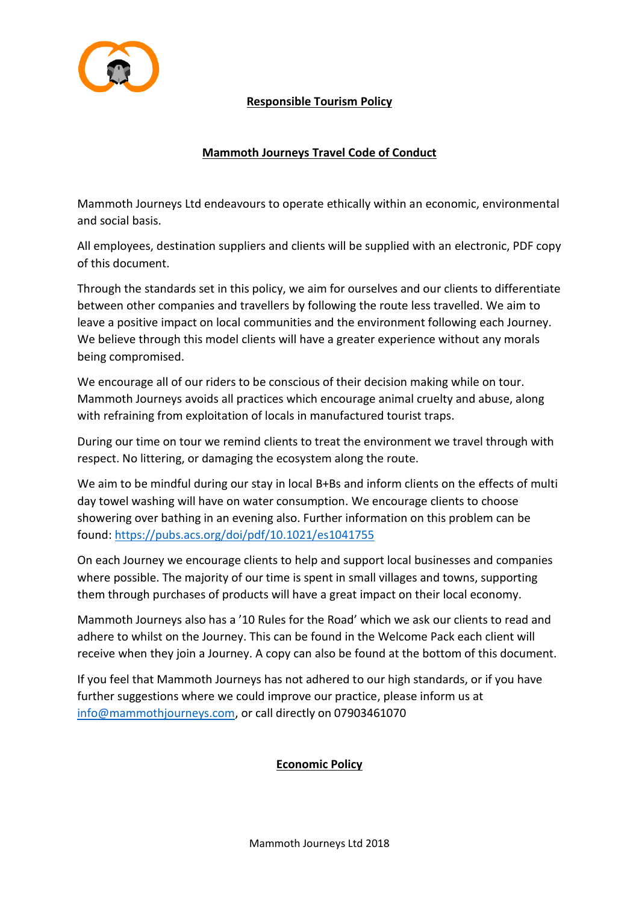

## **Responsible Tourism Policy**

### **Mammoth Journeys Travel Code of Conduct**

Mammoth Journeys Ltd endeavours to operate ethically within an economic, environmental and social basis.

All employees, destination suppliers and clients will be supplied with an electronic, PDF copy of this document.

Through the standards set in this policy, we aim for ourselves and our clients to differentiate between other companies and travellers by following the route less travelled. We aim to leave a positive impact on local communities and the environment following each Journey. We believe through this model clients will have a greater experience without any morals being compromised.

We encourage all of our riders to be conscious of their decision making while on tour. Mammoth Journeys avoids all practices which encourage animal cruelty and abuse, along with refraining from exploitation of locals in manufactured tourist traps.

During our time on tour we remind clients to treat the environment we travel through with respect. No littering, or damaging the ecosystem along the route.

We aim to be mindful during our stay in local B+Bs and inform clients on the effects of multi day towel washing will have on water consumption. We encourage clients to choose showering over bathing in an evening also. Further information on this problem can be found:<https://pubs.acs.org/doi/pdf/10.1021/es1041755>

On each Journey we encourage clients to help and support local businesses and companies where possible. The majority of our time is spent in small villages and towns, supporting them through purchases of products will have a great impact on their local economy.

Mammoth Journeys also has a '10 Rules for the Road' which we ask our clients to read and adhere to whilst on the Journey. This can be found in the Welcome Pack each client will receive when they join a Journey. A copy can also be found at the bottom of this document.

If you feel that Mammoth Journeys has not adhered to our high standards, or if you have further suggestions where we could improve our practice, please inform us at [info@mammothjourneys.com,](mailto:info@mammothjourneys.com) or call directly on 07903461070

## **Economic Policy**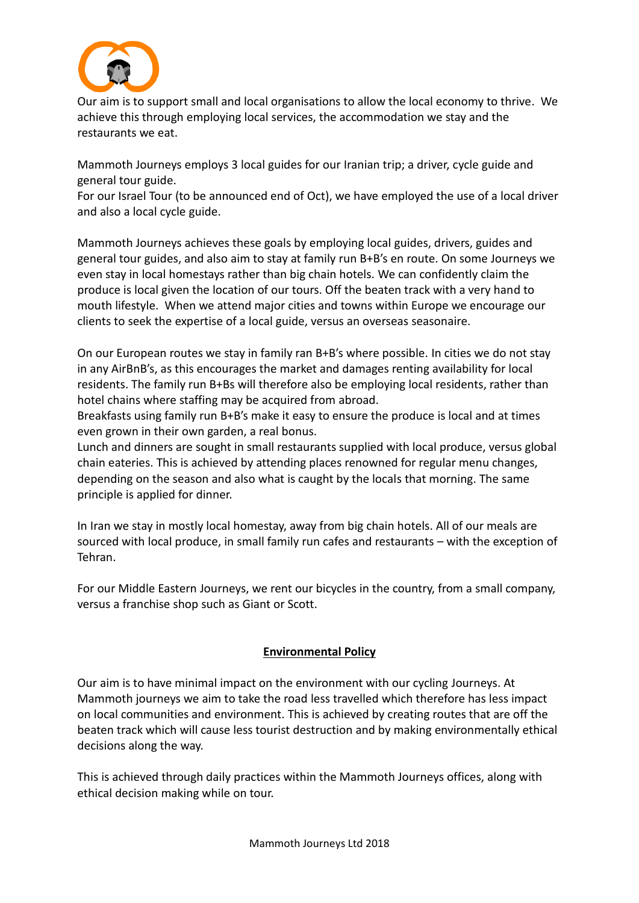

Our aim is to support small and local organisations to allow the local economy to thrive. We achieve this through employing local services, the accommodation we stay and the restaurants we eat.

Mammoth Journeys employs 3 local guides for our Iranian trip; a driver, cycle guide and general tour guide.

For our Israel Tour (to be announced end of Oct), we have employed the use of a local driver and also a local cycle guide.

Mammoth Journeys achieves these goals by employing local guides, drivers, guides and general tour guides, and also aim to stay at family run B+B's en route. On some Journeys we even stay in local homestays rather than big chain hotels. We can confidently claim the produce is local given the location of our tours. Off the beaten track with a very hand to mouth lifestyle. When we attend major cities and towns within Europe we encourage our clients to seek the expertise of a local guide, versus an overseas seasonaire.

On our European routes we stay in family ran B+B's where possible. In cities we do not stay in any AirBnB's, as this encourages the market and damages renting availability for local residents. The family run B+Bs will therefore also be employing local residents, rather than hotel chains where staffing may be acquired from abroad.

Breakfasts using family run B+B's make it easy to ensure the produce is local and at times even grown in their own garden, a real bonus.

Lunch and dinners are sought in small restaurants supplied with local produce, versus global chain eateries. This is achieved by attending places renowned for regular menu changes, depending on the season and also what is caught by the locals that morning. The same principle is applied for dinner.

In Iran we stay in mostly local homestay, away from big chain hotels. All of our meals are sourced with local produce, in small family run cafes and restaurants – with the exception of Tehran.

For our Middle Eastern Journeys, we rent our bicycles in the country, from a small company, versus a franchise shop such as Giant or Scott.

## **Environmental Policy**

Our aim is to have minimal impact on the environment with our cycling Journeys. At Mammoth journeys we aim to take the road less travelled which therefore has less impact on local communities and environment. This is achieved by creating routes that are off the beaten track which will cause less tourist destruction and by making environmentally ethical decisions along the way.

This is achieved through daily practices within the Mammoth Journeys offices, along with ethical decision making while on tour.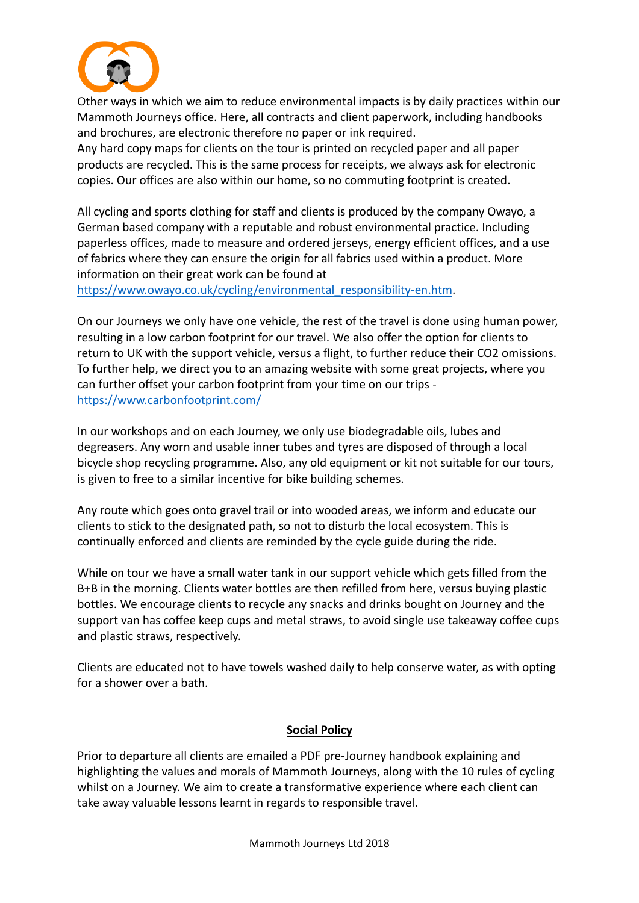

Other ways in which we aim to reduce environmental impacts is by daily practices within our Mammoth Journeys office. Here, all contracts and client paperwork, including handbooks and brochures, are electronic therefore no paper or ink required.

Any hard copy maps for clients on the tour is printed on recycled paper and all paper products are recycled. This is the same process for receipts, we always ask for electronic copies. Our offices are also within our home, so no commuting footprint is created.

All cycling and sports clothing for staff and clients is produced by the company Owayo, a German based company with a reputable and robust environmental practice. Including paperless offices, made to measure and ordered jerseys, energy efficient offices, and a use of fabrics where they can ensure the origin for all fabrics used within a product. More information on their great work can be found at

[https://www.owayo.co.uk/cycling/environmental\\_responsibility-en.htm.](https://www.owayo.co.uk/cycling/environmental_responsibility-en.htm)

On our Journeys we only have one vehicle, the rest of the travel is done using human power, resulting in a low carbon footprint for our travel. We also offer the option for clients to return to UK with the support vehicle, versus a flight, to further reduce their CO2 omissions. To further help, we direct you to an amazing website with some great projects, where you can further offset your carbon footprint from your time on our trips <https://www.carbonfootprint.com/>

In our workshops and on each Journey, we only use biodegradable oils, lubes and degreasers. Any worn and usable inner tubes and tyres are disposed of through a local bicycle shop recycling programme. Also, any old equipment or kit not suitable for our tours, is given to free to a similar incentive for bike building schemes.

Any route which goes onto gravel trail or into wooded areas, we inform and educate our clients to stick to the designated path, so not to disturb the local ecosystem. This is continually enforced and clients are reminded by the cycle guide during the ride.

While on tour we have a small water tank in our support vehicle which gets filled from the B+B in the morning. Clients water bottles are then refilled from here, versus buying plastic bottles. We encourage clients to recycle any snacks and drinks bought on Journey and the support van has coffee keep cups and metal straws, to avoid single use takeaway coffee cups and plastic straws, respectively.

Clients are educated not to have towels washed daily to help conserve water, as with opting for a shower over a bath.

## **Social Policy**

Prior to departure all clients are emailed a PDF pre-Journey handbook explaining and highlighting the values and morals of Mammoth Journeys, along with the 10 rules of cycling whilst on a Journey. We aim to create a transformative experience where each client can take away valuable lessons learnt in regards to responsible travel.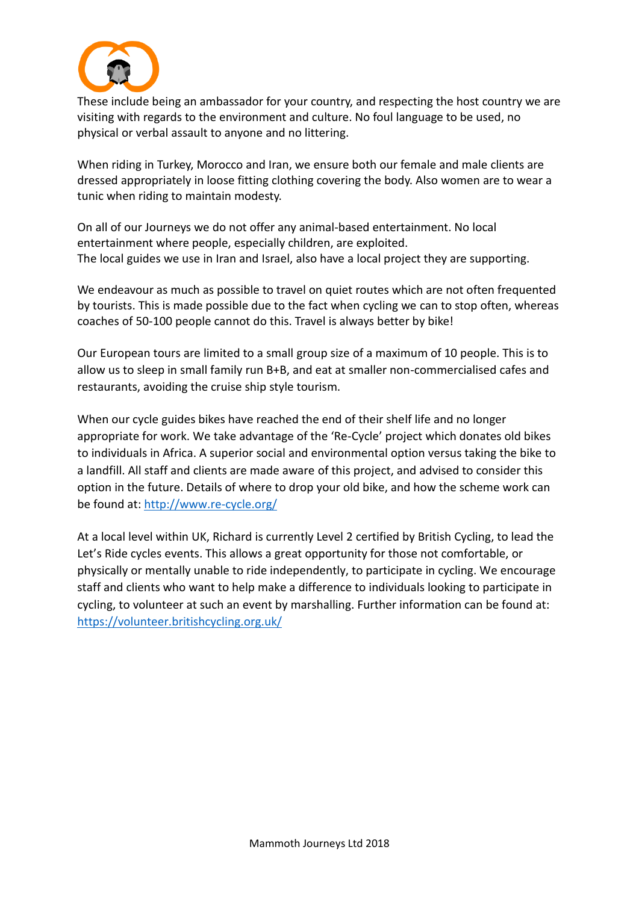

These include being an ambassador for your country, and respecting the host country we are visiting with regards to the environment and culture. No foul language to be used, no physical or verbal assault to anyone and no littering.

When riding in Turkey, Morocco and Iran, we ensure both our female and male clients are dressed appropriately in loose fitting clothing covering the body. Also women are to wear a tunic when riding to maintain modesty.

On all of our Journeys we do not offer any animal-based entertainment. No local entertainment where people, especially children, are exploited. The local guides we use in Iran and Israel, also have a local project they are supporting.

We endeavour as much as possible to travel on quiet routes which are not often frequented by tourists. This is made possible due to the fact when cycling we can to stop often, whereas coaches of 50-100 people cannot do this. Travel is always better by bike!

Our European tours are limited to a small group size of a maximum of 10 people. This is to allow us to sleep in small family run B+B, and eat at smaller non-commercialised cafes and restaurants, avoiding the cruise ship style tourism.

When our cycle guides bikes have reached the end of their shelf life and no longer appropriate for work. We take advantage of the 'Re-Cycle' project which donates old bikes to individuals in Africa. A superior social and environmental option versus taking the bike to a landfill. All staff and clients are made aware of this project, and advised to consider this option in the future. Details of where to drop your old bike, and how the scheme work can be found at:<http://www.re-cycle.org/>

At a local level within UK, Richard is currently Level 2 certified by British Cycling, to lead the Let's Ride cycles events. This allows a great opportunity for those not comfortable, or physically or mentally unable to ride independently, to participate in cycling. We encourage staff and clients who want to help make a difference to individuals looking to participate in cycling, to volunteer at such an event by marshalling. Further information can be found at: <https://volunteer.britishcycling.org.uk/>